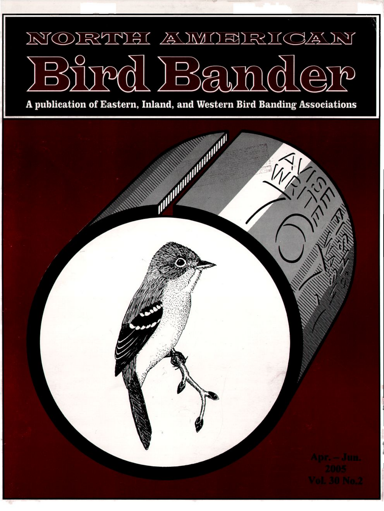## NORTHE AMOBIRICAN **B** 0  $B_{\alpha}$

**A publication of Eastern, Inland, and Western Bird Banding Associations**